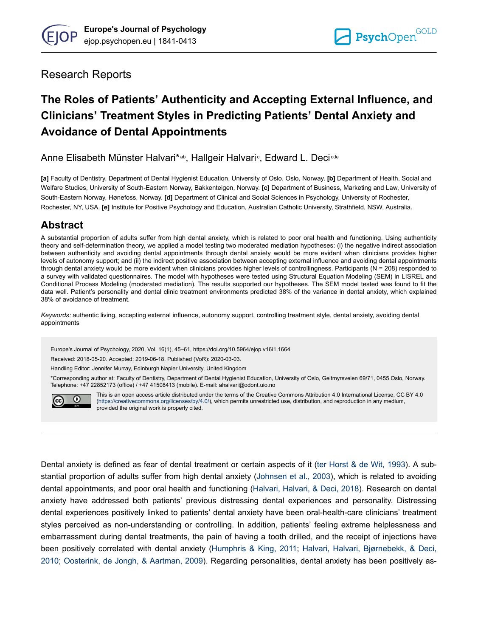

# Research Reports

# **The Roles of Patients' Authenticity and Accepting External Influence, and Clinicians' Treatment Styles in Predicting Patients' Dental Anxiety and Avoidance of Dental Appointments**

Anne Elisabeth Münster Halvari\*ªʰ, Hallgeir Halvari∘, Edward L. Deci*¤*ª

**[a]** Faculty of Dentistry, Department of Dental Hygienist Education, University of Oslo, Oslo, Norway. **[b]** Department of Health, Social and Welfare Studies, University of South-Eastern Norway, Bakkenteigen, Norway. **[c]** Department of Business, Marketing and Law, University of South-Eastern Norway, Hønefoss, Norway. **[d]** Department of Clinical and Social Sciences in Psychology, University of Rochester, Rochester, NY, USA. **[e]** Institute for Positive Psychology and Education, Australian Catholic University, Strathfield, NSW, Australia.

# **Abstract**

A substantial proportion of adults suffer from high dental anxiety, which is related to poor oral health and functioning. Using authenticity theory and self-determination theory, we applied a model testing two moderated mediation hypotheses: (i) the negative indirect association between authenticity and avoiding dental appointments through dental anxiety would be more evident when clinicians provides higher levels of autonomy support; and (ii) the indirect positive association between accepting external influence and avoiding dental appointments through dental anxiety would be more evident when clinicians provides higher levels of controllingness. Participants (N = 208) responded to a survey with validated questionnaires. The model with hypotheses were tested using Structural Equation Modeling (SEM) in LISREL and Conditional Process Modeling (moderated mediation). The results supported our hypotheses. The SEM model tested was found to fit the data well. Patient's personality and dental clinic treatment environments predicted 38% of the variance in dental anxiety, which explained 38% of avoidance of treatment.

*Keywords:* authentic living, accepting external influence, autonomy support, controlling treatment style, dental anxiety, avoiding dental appointments

Europe's Journal of Psychology, 2020, Vol. 16(1), 45–61, https://doi.org/10.5964/ejop.v16i1.1664

Received: 2018-05-20. Accepted: 2019-06-18. Published (VoR): 2020-03-03.

Handling Editor: Jennifer Murray, Edinburgh Napier University, United Kingdom

\*Corresponding author at: Faculty of Dentistry, Department of Dental Hygienist Education, University of Oslo, Geitmyrsveien 69/71, 0455 Oslo, Norway. Telephone: +47 22852173 (office) / +47 41508413 (mobile). E-mail: ahalvari@odont.uio.no



This is an open access article distributed under the terms of the Creative Commons Attribution 4.0 International License, CC BY 4.0 ([https://creativecommons.org/licenses/by/4.0/\)](https://creativecommons.org/licenses/by/4.0/), which permits unrestricted use, distribution, and reproduction in any medium, provided the original work is properly cited.

Dental anxiety is defined as fear of dental treatment or certain aspects of it [\(ter Horst & de Wit, 1993](#page-16-0)). A substantial proportion of adults suffer from high dental anxiety ([Johnsen et al., 2003\)](#page-14-0), which is related to avoiding dental appointments, and poor oral health and functioning [\(Halvari, Halvari, & Deci, 2018](#page-14-0)). Research on dental anxiety have addressed both patients' previous distressing dental experiences and personality. Distressing dental experiences positively linked to patients' dental anxiety have been oral-health-care clinicians' treatment styles perceived as non-understanding or controlling. In addition, patients' feeling extreme helplessness and embarrassment during dental treatments, the pain of having a tooth drilled, and the receipt of injections have been positively correlated with dental anxiety ([Humphris & King, 2011](#page-14-0); [Halvari, Halvari, Bjørnebekk, & Deci,](#page-13-0) [2010](#page-13-0); [Oosterink, de Jongh, & Aartman, 2009](#page-15-0)). Regarding personalities, dental anxiety has been positively as-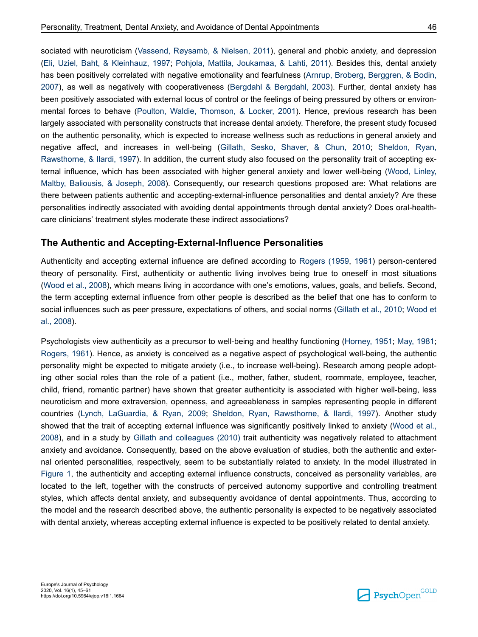sociated with neuroticism ([Vassend, Røysamb, & Nielsen, 2011](#page-16-0)), general and phobic anxiety, and depression [\(Eli, Uziel, Baht, & Kleinhauz, 1997](#page-13-0); [Pohjola, Mattila, Joukamaa, & Lahti, 2011](#page-15-0)). Besides this, dental anxiety has been positively correlated with negative emotionality and fearfulness [\(Arnrup, Broberg, Berggren, & Bodin,](#page-13-0) [2007](#page-13-0)), as well as negatively with cooperativeness ([Bergdahl & Bergdahl, 2003](#page-13-0)). Further, dental anxiety has been positively associated with external locus of control or the feelings of being pressured by others or environmental forces to behave ([Poulton, Waldie, Thomson, & Locker, 2001\)](#page-15-0). Hence, previous research has been largely associated with personality constructs that increase dental anxiety. Therefore, the present study focused on the authentic personality, which is expected to increase wellness such as reductions in general anxiety and negative affect, and increases in well-being ([Gillath, Sesko, Shaver, & Chun, 2010;](#page-13-0) [Sheldon, Ryan,](#page-15-0) [Rawsthorne, & Ilardi, 1997](#page-15-0)). In addition, the current study also focused on the personality trait of accepting external influence, which has been associated with higher general anxiety and lower well-being [\(Wood, Linley,](#page-16-0) [Maltby, Baliousis, & Joseph, 2008](#page-16-0)). Consequently, our research questions proposed are: What relations are there between patients authentic and accepting-external-influence personalities and dental anxiety? Are these personalities indirectly associated with avoiding dental appointments through dental anxiety? Does oral-healthcare clinicians' treatment styles moderate these indirect associations?

### **The Authentic and Accepting-External-Influence Personalities**

Authenticity and accepting external influence are defined according to [Rogers \(1959,](#page-15-0) [1961](#page-15-0)) person-centered theory of personality. First, authenticity or authentic living involves being true to oneself in most situations [\(Wood et al., 2008](#page-16-0)), which means living in accordance with one's emotions, values, goals, and beliefs. Second, the term accepting external influence from other people is described as the belief that one has to conform to social influences such as peer pressure, expectations of others, and social norms ([Gillath et al., 2010](#page-13-0); [Wood et](#page-16-0) [al., 2008](#page-16-0)).

Psychologists view authenticity as a precursor to well-being and healthy functioning ([Horney, 1951](#page-14-0); [May, 1981](#page-15-0); [Rogers, 1961\)](#page-15-0). Hence, as anxiety is conceived as a negative aspect of psychological well-being, the authentic personality might be expected to mitigate anxiety (i.e., to increase well-being). Research among people adopting other social roles than the role of a patient (i.e., mother, father, student, roommate, employee, teacher, child, friend, romantic partner) have shown that greater authenticity is associated with higher well-being, less neuroticism and more extraversion, openness, and agreeableness in samples representing people in different countries ([Lynch, LaGuardia, & Ryan, 2009;](#page-15-0) [Sheldon, Ryan, Rawsthorne, & Ilardi, 1997](#page-15-0)). Another study showed that the trait of accepting external influence was significantly positively linked to anxiety [\(Wood et al.,](#page-16-0) [2008](#page-16-0)), and in a study by [Gillath and colleagues \(2010\)](#page-13-0) trait authenticity was negatively related to attachment anxiety and avoidance. Consequently, based on the above evaluation of studies, both the authentic and external oriented personalities, respectively, seem to be substantially related to anxiety. In the model illustrated in [Figure 1,](#page-2-0) the authenticity and accepting external influence constructs, conceived as personality variables, are located to the left, together with the constructs of perceived autonomy supportive and controlling treatment styles, which affects dental anxiety, and subsequently avoidance of dental appointments. Thus, according to the model and the research described above, the authentic personality is expected to be negatively associated with dental anxiety, whereas accepting external influence is expected to be positively related to dental anxiety.

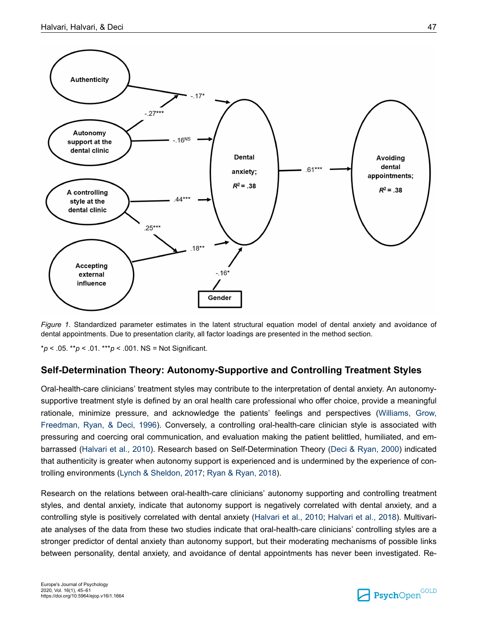<span id="page-2-0"></span>

*Figure 1.* Standardized parameter estimates in the latent structural equation model of dental anxiety and avoidance of dental appointments. Due to presentation clarity, all factor loadings are presented in the method section.

\**p* < .05. \*\**p* < .01. \*\*\**p* < .001. NS = Not Significant.

### **Self-Determination Theory: Autonomy-Supportive and Controlling Treatment Styles**

Oral-health-care clinicians' treatment styles may contribute to the interpretation of dental anxiety. An autonomysupportive treatment style is defined by an oral health care professional who offer choice, provide a meaningful rationale, minimize pressure, and acknowledge the patients' feelings and perspectives ([Williams, Grow,](#page-16-0) [Freedman, Ryan, & Deci, 1996](#page-16-0)). Conversely, a controlling oral-health-care clinician style is associated with pressuring and coercing oral communication, and evaluation making the patient belittled, humiliated, and embarrassed [\(Halvari et al., 2010](#page-13-0)). Research based on Self-Determination Theory [\(Deci & Ryan, 2000\)](#page-13-0) indicated that authenticity is greater when autonomy support is experienced and is undermined by the experience of controlling environments [\(Lynch & Sheldon, 2017](#page-15-0); [Ryan & Ryan, 2018\)](#page-15-0).

Research on the relations between oral-health-care clinicians' autonomy supporting and controlling treatment styles, and dental anxiety, indicate that autonomy support is negatively correlated with dental anxiety, and a controlling style is positively correlated with dental anxiety [\(Halvari et al., 2010;](#page-13-0) [Halvari et al., 2018](#page-14-0)). Multivariate analyses of the data from these two studies indicate that oral-health-care clinicians' controlling styles are a stronger predictor of dental anxiety than autonomy support, but their moderating mechanisms of possible links between personality, dental anxiety, and avoidance of dental appointments has never been investigated. Re-

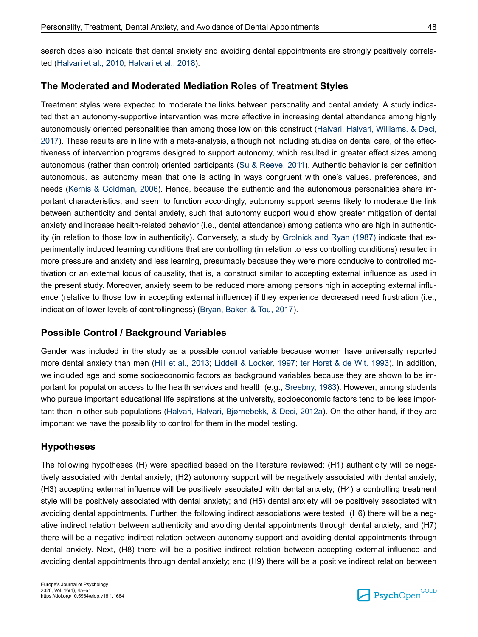search does also indicate that dental anxiety and avoiding dental appointments are strongly positively correlated [\(Halvari et al., 2010](#page-13-0); [Halvari et al., 2018](#page-14-0)).

### **The Moderated and Moderated Mediation Roles of Treatment Styles**

Treatment styles were expected to moderate the links between personality and dental anxiety. A study indicated that an autonomy-supportive intervention was more effective in increasing dental attendance among highly autonomously oriented personalities than among those low on this construct [\(Halvari, Halvari, Williams, & Deci,](#page-14-0) [2017](#page-14-0)). These results are in line with a meta-analysis, although not including studies on dental care, of the effectiveness of intervention programs designed to support autonomy, which resulted in greater effect sizes among autonomous (rather than control) oriented participants [\(Su & Reeve, 2011](#page-16-0)). Authentic behavior is per definition autonomous, as autonomy mean that one is acting in ways congruent with one's values, preferences, and needs [\(Kernis & Goldman, 2006\)](#page-14-0). Hence, because the authentic and the autonomous personalities share important characteristics, and seem to function accordingly, autonomy support seems likely to moderate the link between authenticity and dental anxiety, such that autonomy support would show greater mitigation of dental anxiety and increase health-related behavior (i.e., dental attendance) among patients who are high in authenticity (in relation to those low in authenticity). Conversely, a study by [Grolnick and Ryan \(1987\)](#page-13-0) indicate that experimentally induced learning conditions that are controlling (in relation to less controlling conditions) resulted in more pressure and anxiety and less learning, presumably because they were more conducive to controlled motivation or an external locus of causality, that is, a construct similar to accepting external influence as used in the present study. Moreover, anxiety seem to be reduced more among persons high in accepting external influence (relative to those low in accepting external influence) if they experience decreased need frustration (i.e., indication of lower levels of controllingness) [\(Bryan, Baker, & Tou, 2017\)](#page-13-0).

### **Possible Control / Background Variables**

Gender was included in the study as a possible control variable because women have universally reported more dental anxiety than men ([Hill et al., 2013](#page-14-0); [Liddell & Locker, 1997](#page-14-0); [ter Horst & de Wit, 1993\)](#page-16-0). In addition, we included age and some socioeconomic factors as background variables because they are shown to be important for population access to the health services and health (e.g., [Sreebny, 1983\)](#page-16-0). However, among students who pursue important educational life aspirations at the university, socioeconomic factors tend to be less important than in other sub-populations ([Halvari, Halvari, Bjørnebekk, & Deci, 2012a](#page-13-0)). On the other hand, if they are important we have the possibility to control for them in the model testing.

### **Hypotheses**

The following hypotheses (H) were specified based on the literature reviewed: (H1) authenticity will be negatively associated with dental anxiety; (H2) autonomy support will be negatively associated with dental anxiety; (H3) accepting external influence will be positively associated with dental anxiety; (H4) a controlling treatment style will be positively associated with dental anxiety; and (H5) dental anxiety will be positively associated with avoiding dental appointments. Further, the following indirect associations were tested: (H6) there will be a negative indirect relation between authenticity and avoiding dental appointments through dental anxiety; and (H7) there will be a negative indirect relation between autonomy support and avoiding dental appointments through dental anxiety. Next, (H8) there will be a positive indirect relation between accepting external influence and avoiding dental appointments through dental anxiety; and (H9) there will be a positive indirect relation between

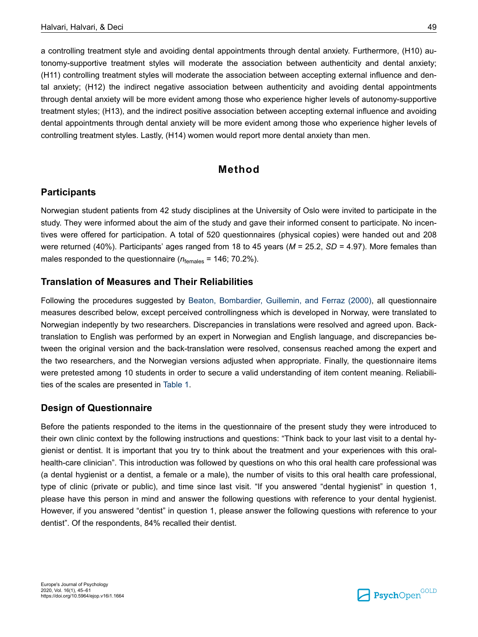a controlling treatment style and avoiding dental appointments through dental anxiety. Furthermore, (H10) autonomy-supportive treatment styles will moderate the association between authenticity and dental anxiety; (H11) controlling treatment styles will moderate the association between accepting external influence and dental anxiety; (H12) the indirect negative association between authenticity and avoiding dental appointments through dental anxiety will be more evident among those who experience higher levels of autonomy-supportive treatment styles; (H13), and the indirect positive association between accepting external influence and avoiding dental appointments through dental anxiety will be more evident among those who experience higher levels of controlling treatment styles. Lastly, (H14) women would report more dental anxiety than men.

### **Method**

### **Participants**

Norwegian student patients from 42 study disciplines at the University of Oslo were invited to participate in the study. They were informed about the aim of the study and gave their informed consent to participate. No incentives were offered for participation. A total of 520 questionnaires (physical copies) were handed out and 208 were returned (40%). Participants' ages ranged from 18 to 45 years (*M* = 25.2, *SD =* 4.97). More females than males responded to the questionnaire ( $n_{\text{females}}$  = 146; 70.2%).

### **Translation of Measures and Their Reliabilities**

Following the procedures suggested by [Beaton, Bombardier, Guillemin, and Ferraz \(2000\)](#page-13-0), all questionnaire measures described below, except perceived controllingness which is developed in Norway, were translated to Norwegian indepently by two researchers. Discrepancies in translations were resolved and agreed upon. Backtranslation to English was performed by an expert in Norwegian and English language, and discrepancies between the original version and the back-translation were resolved, consensus reached among the expert and the two researchers, and the Norwegian versions adjusted when appropriate. Finally, the questionnaire items were pretested among 10 students in order to secure a valid understanding of item content meaning. Reliabilities of the scales are presented in [Table 1.](#page-7-0)

### **Design of Questionnaire**

Before the patients responded to the items in the questionnaire of the present study they were introduced to their own clinic context by the following instructions and questions: "Think back to your last visit to a dental hygienist or dentist. It is important that you try to think about the treatment and your experiences with this oralhealth-care clinician". This introduction was followed by questions on who this oral health care professional was (a dental hygienist or a dentist, a female or a male), the number of visits to this oral health care professional, type of clinic (private or public), and time since last visit. "If you answered "dental hygienist" in question 1, please have this person in mind and answer the following questions with reference to your dental hygienist. However, if you answered "dentist" in question 1, please answer the following questions with reference to your dentist". Of the respondents, 84% recalled their dentist.

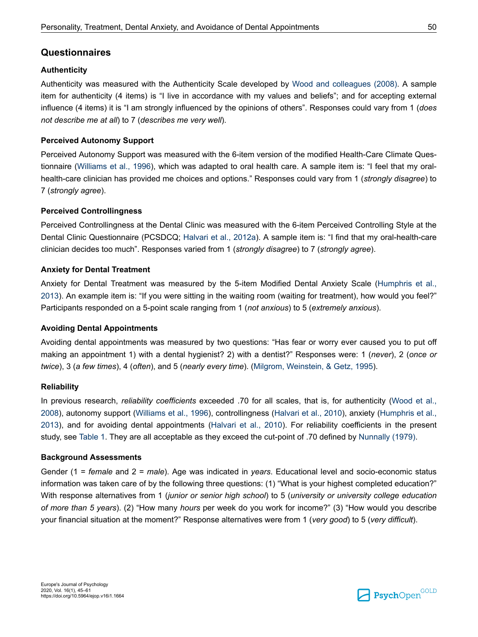# **Questionnaires**

### **Authenticity**

Authenticity was measured with the Authenticity Scale developed by [Wood and colleagues \(2008\).](#page-16-0) A sample item for authenticity (4 items) is "I live in accordance with my values and beliefs"; and for accepting external influence (4 items) it is "I am strongly influenced by the opinions of others". Responses could vary from 1 (*does not describe me at all*) to 7 (*describes me very well*).

### **Perceived Autonomy Support**

Perceived Autonomy Support was measured with the 6-item version of the modified Health-Care Climate Questionnaire [\(Williams et al., 1996\)](#page-16-0), which was adapted to oral health care. A sample item is: "I feel that my oralhealth-care clinician has provided me choices and options." Responses could vary from 1 (*strongly disagree*) to 7 (*strongly agree*).

### **Perceived Controllingness**

Perceived Controllingness at the Dental Clinic was measured with the 6-item Perceived Controlling Style at the Dental Clinic Questionnaire (PCSDCQ; [Halvari et al., 2012a\)](#page-13-0). A sample item is: "I find that my oral-health-care clinician decides too much". Responses varied from 1 (*strongly disagree*) to 7 (*strongly agree*).

### **Anxiety for Dental Treatment**

Anxiety for Dental Treatment was measured by the 5-item Modified Dental Anxiety Scale ([Humphris et al.,](#page-14-0) [2013](#page-14-0)). An example item is: "If you were sitting in the waiting room (waiting for treatment), how would you feel?" Participants responded on a 5-point scale ranging from 1 (*not anxious*) to 5 (*extremely anxious*).

### **Avoiding Dental Appointments**

Avoiding dental appointments was measured by two questions: "Has fear or worry ever caused you to put off making an appointment 1) with a dental hygienist? 2) with a dentist?" Responses were: 1 (*never*), 2 (*once or twice*), 3 (*a few times*), 4 (*often*), and 5 (*nearly every time*). [\(Milgrom, Weinstein, & Getz, 1995\)](#page-15-0).

#### **Reliability**

In previous research, *reliability coefficients* exceeded .70 for all scales, that is, for authenticity [\(Wood et al.,](#page-16-0) [2008](#page-16-0)), autonomy support [\(Williams et al., 1996\)](#page-16-0), controllingness ([Halvari et al., 2010](#page-13-0)), anxiety ([Humphris et al.,](#page-14-0) [2013](#page-14-0)), and for avoiding dental appointments [\(Halvari et al., 2010\)](#page-13-0). For reliability coefficients in the present study, see [Table 1.](#page-7-0) They are all acceptable as they exceed the cut-point of .70 defined by [Nunnally \(1979\).](#page-15-0)

#### **Background Assessments**

Gender (1 = *female* and 2 = *male*). Age was indicated in *years*. Educational level and socio-economic status information was taken care of by the following three questions: (1) "What is your highest completed education?" With response alternatives from 1 (*junior or senior high school*) to 5 (*university or university college education of more than 5 years*). (2) "How many *hours* per week do you work for income?" (3) "How would you describe your financial situation at the moment?" Response alternatives were from 1 (*very good*) to 5 (*very difficult*).

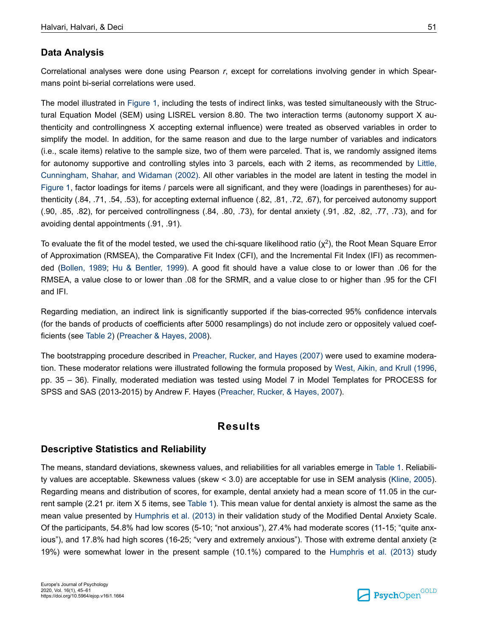# **Data Analysis**

Correlational analyses were done using Pearson *r*, except for correlations involving gender in which Spearmans point bi-serial correlations were used.

The model illustrated in [Figure 1,](#page-2-0) including the tests of indirect links, was tested simultaneously with the Structural Equation Model (SEM) using LISREL version 8.80. The two interaction terms (autonomy support X authenticity and controllingness X accepting external influence) were treated as observed variables in order to simplify the model. In addition, for the same reason and due to the large number of variables and indicators (i.e., scale items) relative to the sample size, two of them were parceled. That is, we randomly assigned items for autonomy supportive and controlling styles into 3 parcels, each with 2 items, as recommended by [Little,](#page-14-0) [Cunningham, Shahar, and Widaman \(2002\)](#page-14-0). All other variables in the model are latent in testing the model in [Figure 1,](#page-2-0) factor loadings for items / parcels were all significant, and they were (loadings in parentheses) for authenticity (.84, .71, .54, .53), for accepting external influence (.82, .81, .72, .67), for perceived autonomy support (.90, .85, .82), for perceived controllingness (.84, .80, .73), for dental anxiety (.91, .82, .82, .77, .73), and for avoiding dental appointments (.91, .91).

To evaluate the fit of the model tested, we used the chi-square likelihood ratio ( $\chi^2$ ), the Root Mean Square Error of Approximation (RMSEA), the Comparative Fit Index (CFI), and the Incremental Fit Index (IFI) as recommended ([Bollen, 1989;](#page-13-0) [Hu & Bentler, 1999](#page-14-0)). A good fit should have a value close to or lower than .06 for the RMSEA, a value close to or lower than .08 for the SRMR, and a value close to or higher than .95 for the CFI and IFI.

Regarding mediation, an indirect link is significantly supported if the bias-corrected 95% confidence intervals (for the bands of products of coefficients after 5000 resamplings) do not include zero or oppositely valued coefficients (see [Table 2](#page-8-0)) ([Preacher & Hayes, 2008\)](#page-15-0).

The bootstrapping procedure described in [Preacher, Rucker, and Hayes \(2007\)](#page-15-0) were used to examine moderation. These moderator relations were illustrated following the formula proposed by [West, Aikin, and Krull \(1996](#page-16-0), pp. 35 – 36). Finally, moderated mediation was tested using Model 7 in Model Templates for PROCESS for SPSS and SAS (2013-2015) by Andrew F. Hayes [\(Preacher, Rucker, & Hayes, 2007\)](#page-15-0).

### **Results**

### **Descriptive Statistics and Reliability**

The means, standard deviations, skewness values, and reliabilities for all variables emerge in [Table 1](#page-7-0). Reliability values are acceptable. Skewness values (skew < 3.0) are acceptable for use in SEM analysis ([Kline, 2005](#page-14-0)). Regarding means and distribution of scores, for example, dental anxiety had a mean score of 11.05 in the current sample (2.21 pr. item X 5 items, see [Table 1](#page-7-0)). This mean value for dental anxiety is almost the same as the mean value presented by [Humphris et al. \(2013\)](#page-14-0) in their validation study of the Modified Dental Anxiety Scale. Of the participants, 54.8% had low scores (5-10; "not anxious"), 27.4% had moderate scores (11-15; "quite anxious"), and 17.8% had high scores (16-25; "very and extremely anxious"). Those with extreme dental anxiety (≥ 19%) were somewhat lower in the present sample (10.1%) compared to the [Humphris et al. \(2013\)](#page-14-0) study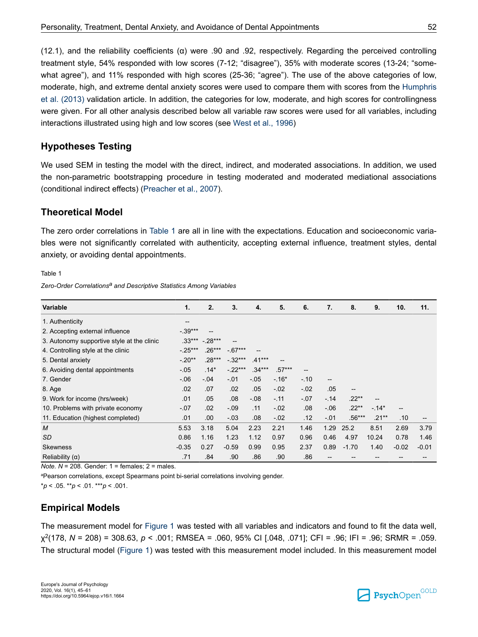<span id="page-7-0"></span>(12.1), and the reliability coefficients ( $\alpha$ ) were .90 and .92, respectively. Regarding the perceived controlling treatment style, 54% responded with low scores (7-12; "disagree"), 35% with moderate scores (13-24; "somewhat agree"), and 11% responded with high scores (25-36; "agree"). The use of the above categories of low, moderate, high, and extreme dental anxiety scores were used to compare them with scores from the [Humphris](#page-14-0) [et al. \(2013\)](#page-14-0) validation article. In addition, the categories for low, moderate, and high scores for controllingness were given. For all other analysis described below all variable raw scores were used for all variables, including interactions illustrated using high and low scores (see [West et al., 1996](#page-16-0))

### **Hypotheses Testing**

We used SEM in testing the model with the direct, indirect, and moderated associations. In addition, we used the non-parametric bootstrapping procedure in testing moderated and moderated mediational associations (conditional indirect effects) ([Preacher et al., 2007\)](#page-15-0).

### **Theoretical Model**

The zero order correlations in Table 1 are all in line with the expectations. Education and socioeconomic variables were not significantly correlated with authenticity, accepting external influence, treatment styles, dental anxiety, or avoiding dental appointments.

Table 1

*Zero-Order Correlationsa and Descriptive Statistics Among Variables*

| <b>Variable</b>                            | 1.                  | 2.       | 3.         | 4.       | 5.       | 6.                | 7.                       | 8.       | 9.       | 10.     | 11.     |
|--------------------------------------------|---------------------|----------|------------|----------|----------|-------------------|--------------------------|----------|----------|---------|---------|
| 1. Authenticity                            | $\hspace{0.05cm}$ – |          |            |          |          |                   |                          |          |          |         |         |
| 2. Accepting external influence            | $-0.39***$          | --       |            |          |          |                   |                          |          |          |         |         |
| 3. Autonomy supportive style at the clinic | $.33***$            | $-28***$ |            |          |          |                   |                          |          |          |         |         |
| 4. Controlling style at the clinic         | $-25***$            | $.26***$ | $-0.67***$ |          |          |                   |                          |          |          |         |         |
| 5. Dental anxiety                          | $-.20**$            | $.28***$ | $-32***$   | $.41***$ | --       |                   |                          |          |          |         |         |
| 6. Avoiding dental appointments            | $-05$               | $.14*$   | $-22***$   | $.34***$ | $.57***$ | $\qquad \qquad -$ |                          |          |          |         |         |
| 7. Gender                                  | $-0.06$             | $-.04$   | $-.01$     | $-.05$   | $-.16*$  | $-.10$            | $\overline{\phantom{a}}$ |          |          |         |         |
| 8. Age                                     | .02                 | .07      | .02        | .05      | $-.02$   | $-02$             | .05                      | --       |          |         |         |
| 9. Work for income (hrs/week)              | .01                 | .05      | .08        | $-0.08$  | $-.11$   | $-07$             | $-.14$                   | $.22**$  |          |         |         |
| 10. Problems with private economy          | $-.07$              | .02      | $-0.09$    | .11      | $-.02$   | .08               | $-06$                    | $.22**$  | $-.14*$  | --      |         |
| 11. Education (highest completed)          | .01                 | .00.     | $-03$      | .08      | $-0.02$  | .12               | $-.01$                   | $.56***$ | $.21***$ | .10     | --      |
| M                                          | 5.53                | 3.18     | 5.04       | 2.23     | 2.21     | 1.46              | 1.29                     | 25.2     | 8.51     | 2.69    | 3.79    |
| SD                                         | 0.86                | 1.16     | 1.23       | 1.12     | 0.97     | 0.96              | 0.46                     | 4.97     | 10.24    | 0.78    | 1.46    |
| <b>Skewness</b>                            | $-0.35$             | 0.27     | $-0.59$    | 0.99     | 0.95     | 2.37              | 0.89                     | $-1.70$  | 1.40     | $-0.02$ | $-0.01$ |
| Reliability $(\alpha)$                     | .71                 | .84      | .90        | .86      | .90      | .86               | --                       |          |          |         |         |

*Note. N* = 208. Gender: 1 = females; 2 = males.

<sup>a</sup>Pearson correlations, except Spearmans point bi-serial correlations involving gender.

 $*p < .05$ . \*\* $p < .01$ . \*\*\* $p < .001$ .

# **Empirical Models**

The measurement model for [Figure 1](#page-2-0) was tested with all variables and indicators and found to fit the data well, χ 2 (178, *N* = 208) = 308.63, *p* < .001; RMSEA = .060, 95% CI [.048, .071]; CFI = .96; IFI = .96; SRMR = .059. The structural model ([Figure 1\)](#page-2-0) was tested with this measurement model included. In this measurement model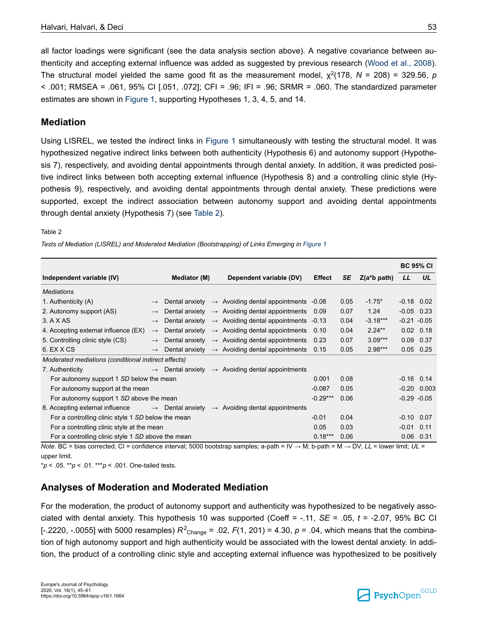<span id="page-8-0"></span>all factor loadings were significant (see the data analysis section above). A negative covariance between authenticity and accepting external influence was added as suggested by previous research [\(Wood et al., 2008](#page-16-0)). The structural model yielded the same good fit as the measurement model,  $\chi^2(178, N = 208) = 329.56, p$  $<$  .001; RMSEA = .061, 95% CI [.051, .072]; CFI = .96; IFI = .96; SRMR = .060. The standardized parameter estimates are shown in [Figure 1,](#page-2-0) supporting Hypotheses 1, 3, 4, 5, and 14.

### **Mediation**

Using LISREL, we tested the indirect links in [Figure 1](#page-2-0) simultaneously with testing the structural model. It was hypothesized negative indirect links between both authenticity (Hypothesis 6) and autonomy support (Hypothesis 7), respectively, and avoiding dental appointments through dental anxiety. In addition, it was predicted positive indirect links between both accepting external influence (Hypothesis 8) and a controlling clinic style (Hypothesis 9), respectively, and avoiding dental appointments through dental anxiety. These predictions were supported, except the indirect association between autonomy support and avoiding dental appointments through dental anxiety (Hypothesis 7) (see Table 2).

#### Table 2

*Tests of Mediation (LISREL) and Moderated Mediation (Bootstrapping) of Links Emerging in [Figure 1](#page-2-0)* 

|                                                              |               |              |  |                                                                         |               |      |                | <b>BC 95% CI</b> |               |  |
|--------------------------------------------------------------|---------------|--------------|--|-------------------------------------------------------------------------|---------------|------|----------------|------------------|---------------|--|
| Independent variable (IV)                                    |               | Mediator (M) |  | Dependent variable (DV)                                                 | <b>Effect</b> | SE   | $Z(a^*b$ path) | LL               | UL            |  |
| <b>Mediations</b>                                            |               |              |  |                                                                         |               |      |                |                  |               |  |
| 1. Authenticity (A)                                          | $\rightarrow$ |              |  | Dental anxiety $\rightarrow$ Avoiding dental appointments -0.08         |               | 0.05 | $-1.75*$       | $-0.18$ 0.02     |               |  |
| 2. Autonomy support (AS)                                     | $\rightarrow$ |              |  | Dental anxiety $\rightarrow$ Avoiding dental appointments               | - 0.09        | 0.07 | 1.24           | $-0.05$ 0.23     |               |  |
| 3. A X AS                                                    | $\rightarrow$ |              |  | Dental anxiety $\rightarrow$ Avoiding dental appointments -0.13         |               | 0.04 | $-3.18***$     | $-0.21 - 0.05$   |               |  |
| 4. Accepting external influence (EX)                         | $\rightarrow$ |              |  | Dental anxiety $\rightarrow$ Avoiding dental appointments               | 0.10          | 0.04 | $2.24**$       |                  | $0.02$ 0.18   |  |
| 5. Controlling clinic style (CS)                             | $\rightarrow$ |              |  | Dental anxiety $\rightarrow$ Avoiding dental appointments               | 0.23          | 0.07 | $3.09***$      |                  | $0.09$ 0.37   |  |
| 6. EX X CS                                                   | $\rightarrow$ |              |  | Dental anxiety $\rightarrow$ Avoiding dental appointments               | 0.15          | 0.05 | $2.98***$      |                  | $0.05$ 0.25   |  |
| Moderated mediations (conditional indirect effects)          |               |              |  |                                                                         |               |      |                |                  |               |  |
| 7. Authenticity                                              |               |              |  | $\rightarrow$ Dental anxiety $\rightarrow$ Avoiding dental appointments |               |      |                |                  |               |  |
| For autonomy support 1 SD below the mean                     |               |              |  |                                                                         | 0.001         | 0.08 |                | $-0.16$ 0.14     |               |  |
| For autonomy support at the mean                             |               |              |  |                                                                         | $-0.087$      | 0.05 |                |                  | $-0.20$ 0.003 |  |
| For autonomy support 1 SD above the mean                     |               |              |  |                                                                         | $-0.29***$    | 0.06 |                | $-0.29 - 0.05$   |               |  |
| 8. Accepting external influence $\rightarrow$ Dental anxiety |               |              |  | $\rightarrow$ Avoiding dental appointments                              |               |      |                |                  |               |  |
| For a controlling clinic style 1 SD below the mean           |               |              |  |                                                                         | $-0.01$       | 0.04 |                | $-0.10$ 0.07     |               |  |
| For a controlling clinic style at the mean                   |               |              |  |                                                                         | 0.05          | 0.03 |                | $-0.01$ 0.11     |               |  |
| For a controlling clinic style 1 SD above the mean           |               |              |  |                                                                         | $0.18***$     | 0.06 |                |                  | $0.06$ $0.31$ |  |

*Note.* BC = bias corrected; CI = confidence interval; 5000 bootstrap samples; a-path = IV → M; b-path = M → DV; *LL* = lower limit; *UL* = upper limit.

\**p* < .05. \*\**p* < .01. \*\*\**p* < .001. One-tailed tests.

# **Analyses of Moderation and Moderated Mediation**

For the moderation, the product of autonomy support and authenticity was hypothesized to be negatively associated with dental anxiety. This hypothesis 10 was supported (Coeff = -.11, *SE* = .05, *t* = -2.07, 95% BC CI [-.2220, -.0055] with 5000 resamples)  $R^2$ <sub>Change</sub> = .02,  $F(1, 201)$  = 4.30,  $p$  = .04, which means that the combination of high autonomy support and high authenticity would be associated with the lowest dental anxiety. In addition, the product of a controlling clinic style and accepting external influence was hypothesized to be positively

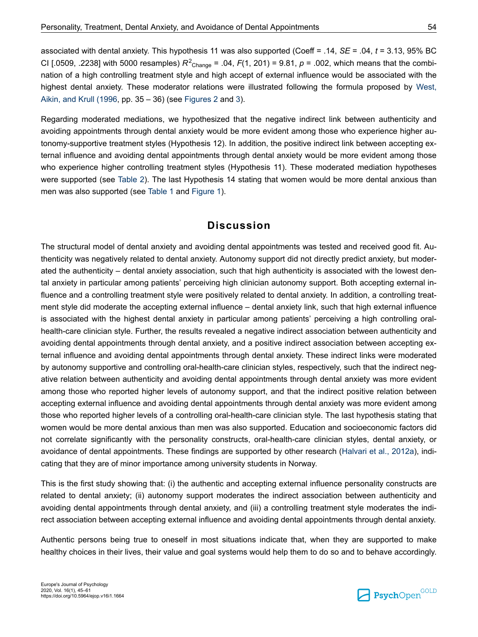associated with dental anxiety. This hypothesis 11 was also supported (Coeff = .14, *SE* = .04, *t* = 3.13, 95% BC CI [.0509, .2238] with 5000 resamples)  $R^2$ <sub>Change</sub> = .04,  $F(1, 201)$  = 9.81,  $p$  = .002, which means that the combination of a high controlling treatment style and high accept of external influence would be associated with the highest dental anxiety. These moderator relations were illustrated following the formula proposed by [West,](#page-16-0) [Aikin, and Krull \(1996](#page-16-0), pp. 35 – 36) (see [Figures 2](#page-10-0) and [3\)](#page-10-0).

Regarding moderated mediations, we hypothesized that the negative indirect link between authenticity and avoiding appointments through dental anxiety would be more evident among those who experience higher autonomy-supportive treatment styles (Hypothesis 12). In addition, the positive indirect link between accepting external influence and avoiding dental appointments through dental anxiety would be more evident among those who experience higher controlling treatment styles (Hypothesis 11). These moderated mediation hypotheses were supported (see [Table 2\)](#page-8-0). The last Hypothesis 14 stating that women would be more dental anxious than men was also supported (see [Table 1](#page-7-0) and [Figure 1\)](#page-2-0).

### **Discussion**

The structural model of dental anxiety and avoiding dental appointments was tested and received good fit. Authenticity was negatively related to dental anxiety. Autonomy support did not directly predict anxiety, but moderated the authenticity – dental anxiety association, such that high authenticity is associated with the lowest dental anxiety in particular among patients' perceiving high clinician autonomy support. Both accepting external influence and a controlling treatment style were positively related to dental anxiety. In addition, a controlling treatment style did moderate the accepting external influence – dental anxiety link, such that high external influence is associated with the highest dental anxiety in particular among patients' perceiving a high controlling oralhealth-care clinician style. Further, the results revealed a negative indirect association between authenticity and avoiding dental appointments through dental anxiety, and a positive indirect association between accepting external influence and avoiding dental appointments through dental anxiety. These indirect links were moderated by autonomy supportive and controlling oral-health-care clinician styles, respectively, such that the indirect negative relation between authenticity and avoiding dental appointments through dental anxiety was more evident among those who reported higher levels of autonomy support, and that the indirect positive relation between accepting external influence and avoiding dental appointments through dental anxiety was more evident among those who reported higher levels of a controlling oral-health-care clinician style. The last hypothesis stating that women would be more dental anxious than men was also supported. Education and socioeconomic factors did not correlate significantly with the personality constructs, oral-health-care clinician styles, dental anxiety, or avoidance of dental appointments. These findings are supported by other research [\(Halvari et al., 2012a](#page-13-0)), indicating that they are of minor importance among university students in Norway.

This is the first study showing that: (i) the authentic and accepting external influence personality constructs are related to dental anxiety; (ii) autonomy support moderates the indirect association between authenticity and avoiding dental appointments through dental anxiety, and (iii) a controlling treatment style moderates the indirect association between accepting external influence and avoiding dental appointments through dental anxiety.

Authentic persons being true to oneself in most situations indicate that, when they are supported to make healthy choices in their lives, their value and goal systems would help them to do so and to behave accordingly.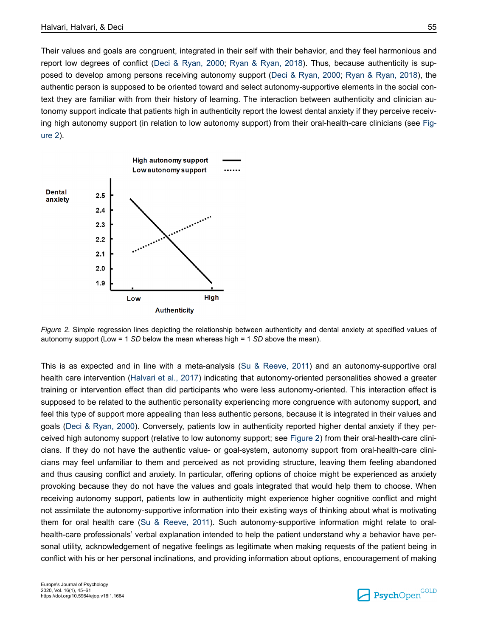<span id="page-10-0"></span>Their values and goals are congruent, integrated in their self with their behavior, and they feel harmonious and report low degrees of conflict ([Deci & Ryan, 2000](#page-13-0); [Ryan & Ryan, 2018](#page-15-0)). Thus, because authenticity is supposed to develop among persons receiving autonomy support [\(Deci & Ryan, 2000](#page-13-0); [Ryan & Ryan, 2018\)](#page-15-0), the authentic person is supposed to be oriented toward and select autonomy-supportive elements in the social context they are familiar with from their history of learning. The interaction between authenticity and clinician autonomy support indicate that patients high in authenticity report the lowest dental anxiety if they perceive receiving high autonomy support (in relation to low autonomy support) from their oral-health-care clinicians (see Figure 2).



*Figure 2.* Simple regression lines depicting the relationship between authenticity and dental anxiety at specified values of autonomy support (Low = 1 *SD* below the mean whereas high = 1 *SD* above the mean).

This is as expected and in line with a meta-analysis [\(Su & Reeve, 2011\)](#page-16-0) and an autonomy-supportive oral health care intervention ([Halvari et al., 2017\)](#page-14-0) indicating that autonomy-oriented personalities showed a greater training or intervention effect than did participants who were less autonomy-oriented. This interaction effect is supposed to be related to the authentic personality experiencing more congruence with autonomy support, and feel this type of support more appealing than less authentic persons, because it is integrated in their values and goals ([Deci & Ryan, 2000\)](#page-13-0). Conversely, patients low in authenticity reported higher dental anxiety if they perceived high autonomy support (relative to low autonomy support; see Figure 2) from their oral-health-care clinicians. If they do not have the authentic value- or goal-system, autonomy support from oral-health-care clinicians may feel unfamiliar to them and perceived as not providing structure, leaving them feeling abandoned and thus causing conflict and anxiety. In particular, offering options of choice might be experienced as anxiety provoking because they do not have the values and goals integrated that would help them to choose. When receiving autonomy support, patients low in authenticity might experience higher cognitive conflict and might not assimilate the autonomy-supportive information into their existing ways of thinking about what is motivating them for oral health care [\(Su & Reeve, 2011\)](#page-16-0). Such autonomy-supportive information might relate to oralhealth-care professionals' verbal explanation intended to help the patient understand why a behavior have personal utility, acknowledgement of negative feelings as legitimate when making requests of the patient being in conflict with his or her personal inclinations, and providing information about options, encouragement of making

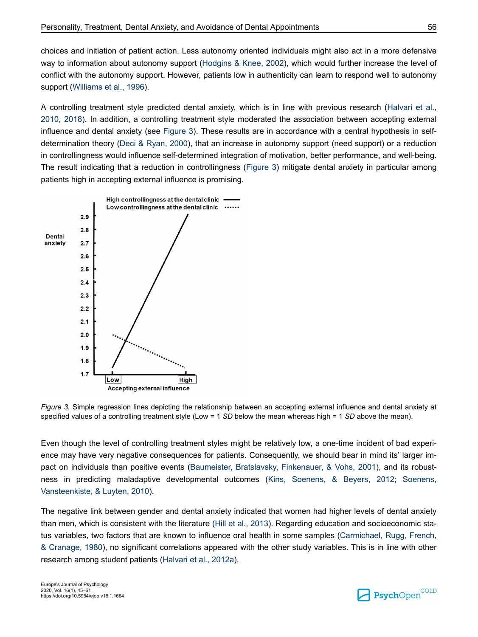choices and initiation of patient action. Less autonomy oriented individuals might also act in a more defensive way to information about autonomy support [\(Hodgins & Knee, 2002\)](#page-14-0), which would further increase the level of conflict with the autonomy support. However, patients low in authenticity can learn to respond well to autonomy support [\(Williams et al., 1996\)](#page-16-0).

A controlling treatment style predicted dental anxiety, which is in line with previous research ([Halvari et al.,](#page-13-0) [2010](#page-13-0), [2018](#page-14-0)). In addition, a controlling treatment style moderated the association between accepting external influence and dental anxiety (see Figure 3). These results are in accordance with a central hypothesis in selfdetermination theory [\(Deci & Ryan, 2000\)](#page-13-0), that an increase in autonomy support (need support) or a reduction in controllingness would influence self-determined integration of motivation, better performance, and well-being. The result indicating that a reduction in controllingness (Figure 3) mitigate dental anxiety in particular among patients high in accepting external influence is promising.



*Figure 3.* Simple regression lines depicting the relationship between an accepting external influence and dental anxiety at specified values of a controlling treatment style (Low = 1 *SD* below the mean whereas high = 1 *SD* above the mean).

Even though the level of controlling treatment styles might be relatively low, a one-time incident of bad experience may have very negative consequences for patients. Consequently, we should bear in mind its' larger impact on individuals than positive events [\(Baumeister, Bratslavsky, Finkenauer, & Vohs, 2001\)](#page-13-0), and its robustness in predicting maladaptive developmental outcomes [\(Kins, Soenens, & Beyers, 2012;](#page-14-0) [Soenens,](#page-15-0) [Vansteenkiste, & Luyten, 2010\)](#page-15-0).

The negative link between gender and dental anxiety indicated that women had higher levels of dental anxiety than men, which is consistent with the literature ([Hill et al., 2013](#page-14-0)). Regarding education and socioeconomic status variables, two factors that are known to influence oral health in some samples ([Carmichael, Rugg, French,](#page-13-0) [& Cranage, 1980\)](#page-13-0), no significant correlations appeared with the other study variables. This is in line with other research among student patients ([Halvari et al., 2012a\)](#page-13-0).

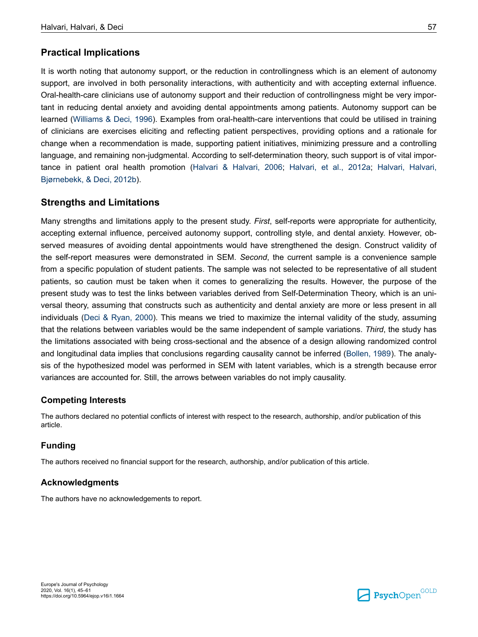### **Practical Implications**

It is worth noting that autonomy support, or the reduction in controllingness which is an element of autonomy support, are involved in both personality interactions, with authenticity and with accepting external influence. Oral-health-care clinicians use of autonomy support and their reduction of controllingness might be very important in reducing dental anxiety and avoiding dental appointments among patients. Autonomy support can be learned [\(Williams & Deci, 1996](#page-16-0)). Examples from oral-health-care interventions that could be utilised in training of clinicians are exercises eliciting and reflecting patient perspectives, providing options and a rationale for change when a recommendation is made, supporting patient initiatives, minimizing pressure and a controlling language, and remaining non-judgmental. According to self-determination theory, such support is of vital importance in patient oral health promotion [\(Halvari & Halvari, 2006](#page-13-0); [Halvari, et al., 2012a;](#page-13-0) [Halvari, Halvari,](#page-14-0) [Bjørnebekk, & Deci, 2012b\)](#page-14-0).

### **Strengths and Limitations**

Many strengths and limitations apply to the present study. *First*, self-reports were appropriate for authenticity, accepting external influence, perceived autonomy support, controlling style, and dental anxiety. However, observed measures of avoiding dental appointments would have strengthened the design. Construct validity of the self-report measures were demonstrated in SEM. *Second*, the current sample is a convenience sample from a specific population of student patients. The sample was not selected to be representative of all student patients, so caution must be taken when it comes to generalizing the results. However, the purpose of the present study was to test the links between variables derived from Self-Determination Theory, which is an universal theory, assuming that constructs such as authenticity and dental anxiety are more or less present in all individuals ([Deci & Ryan, 2000\)](#page-13-0). This means we tried to maximize the internal validity of the study, assuming that the relations between variables would be the same independent of sample variations. *Third*, the study has the limitations associated with being cross-sectional and the absence of a design allowing randomized control and longitudinal data implies that conclusions regarding causality cannot be inferred ([Bollen, 1989](#page-13-0)). The analysis of the hypothesized model was performed in SEM with latent variables, which is a strength because error variances are accounted for. Still, the arrows between variables do not imply causality.

#### **Competing Interests**

The authors declared no potential conflicts of interest with respect to the research, authorship, and/or publication of this article.

#### **Funding**

The authors received no financial support for the research, authorship, and/or publication of this article.

#### **Acknowledgments**

The authors have no acknowledgements to report.

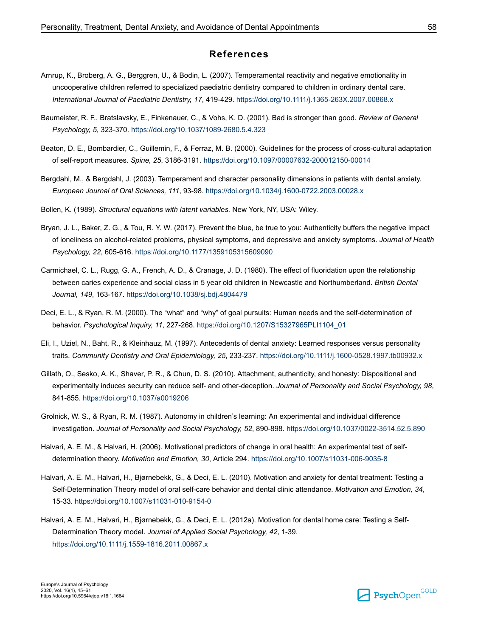#### **References**

- <span id="page-13-0"></span>Arnrup, K., Broberg, A. G., Berggren, U., & Bodin, L. (2007). Temperamental reactivity and negative emotionality in uncooperative children referred to specialized paediatric dentistry compared to children in ordinary dental care. *International Journal of Paediatric Dentistry, 17*, 419-429. [https://doi.org/10.1111/j.1365-263X.2007.00868.x](https://doi.org/10.1111%2Fj.1365-263X.2007.00868.x)
- Baumeister, R. F., Bratslavsky, E., Finkenauer, C., & Vohs, K. D. (2001). Bad is stronger than good. *Review of General Psychology, 5*, 323-370. [https://doi.org/10.1037/1089-2680.5.4.323](https://doi.org/10.1037%2F1089-2680.5.4.323)
- Beaton, D. E., Bombardier, C., Guillemin, F., & Ferraz, M. B. (2000). Guidelines for the process of cross-cultural adaptation of self-report measures. *Spine, 25*, 3186-3191. [https://doi.org/10.1097/00007632-200012150-00014](https://doi.org/10.1097%2F00007632-200012150-00014)
- Bergdahl, M., & Bergdahl, J. (2003). Temperament and character personality dimensions in patients with dental anxiety. *European Journal of Oral Sciences, 111*, 93-98. [https://doi.org/10.1034/j.1600-0722.2003.00028.x](https://doi.org/10.1034%2Fj.1600-0722.2003.00028.x)
- Bollen, K. (1989). *Structural equations with latent variables.* New York, NY, USA: Wiley.
- Bryan, J. L., Baker, Z. G., & Tou, R. Y. W. (2017). Prevent the blue, be true to you: Authenticity buffers the negative impact of loneliness on alcohol-related problems, physical symptoms, and depressive and anxiety symptoms. *Journal of Health Psychology, 22*, 605-616. [https://doi.org/10.1177/1359105315609090](https://doi.org/10.1177%2F1359105315609090)
- Carmichael, C. L., Rugg, G. A., French, A. D., & Cranage, J. D. (1980). The effect of fluoridation upon the relationship between caries experience and social class in 5 year old children in Newcastle and Northumberland. *British Dental Journal, 149*, 163-167. [https://doi.org/10.1038/sj.bdj.4804479](https://doi.org/10.1038%2Fsj.bdj.4804479)
- Deci, E. L., & Ryan, R. M. (2000). The "what" and "why" of goal pursuits: Human needs and the self-determination of behavior. *Psychological Inquiry, 11*, 227-268. [https://doi.org/10.1207/S15327965PLI1104\\_01](https://doi.org/10.1207%2FS15327965PLI1104_01)
- Eli, I., Uziel, N., Baht, R., & Kleinhauz, M. (1997). Antecedents of dental anxiety: Learned responses versus personality traits. *Community Dentistry and Oral Epidemiology, 25*, 233-237. [https://doi.org/10.1111/j.1600-0528.1997.tb00932.x](https://doi.org/10.1111%2Fj.1600-0528.1997.tb00932.x)
- Gillath, O., Sesko, A. K., Shaver, P. R., & Chun, D. S. (2010). Attachment, authenticity, and honesty: Dispositional and experimentally induces security can reduce self- and other-deception. *Journal of Personality and Social Psychology, 98*, 841-855. [https://doi.org/10.1037/a0019206](https://doi.org/10.1037%2Fa0019206)
- Grolnick, W. S., & Ryan, R. M. (1987). Autonomy in children's learning: An experimental and individual difference investigation. *Journal of Personality and Social Psychology, 52*, 890-898. [https://doi.org/10.1037/0022-3514.52.5.890](https://doi.org/10.1037%2F0022-3514.52.5.890)
- Halvari, A. E. M., & Halvari, H. (2006). Motivational predictors of change in oral health: An experimental test of selfdetermination theory. *Motivation and Emotion, 30*, Article 294. [https://doi.org/10.1007/s11031-006-9035-8](https://doi.org/10.1007%2Fs11031-006-9035-8)
- Halvari, A. E. M., Halvari, H., Bjørnebekk, G., & Deci, E. L. (2010). Motivation and anxiety for dental treatment: Testing a Self-Determination Theory model of oral self-care behavior and dental clinic attendance. *Motivation and Emotion, 34*, 15-33. [https://doi.org/10.1007/s11031-010-9154-0](https://doi.org/10.1007%2Fs11031-010-9154-0)
- Halvari, A. E. M., Halvari, H., Bjørnebekk, G., & Deci, E. L. (2012a). Motivation for dental home care: Testing a Self-Determination Theory model. *Journal of Applied Social Psychology, 42*, 1-39. [https://doi.org/10.1111/j.1559-1816.2011.00867.x](https://doi.org/10.1111%2Fj.1559-1816.2011.00867.x)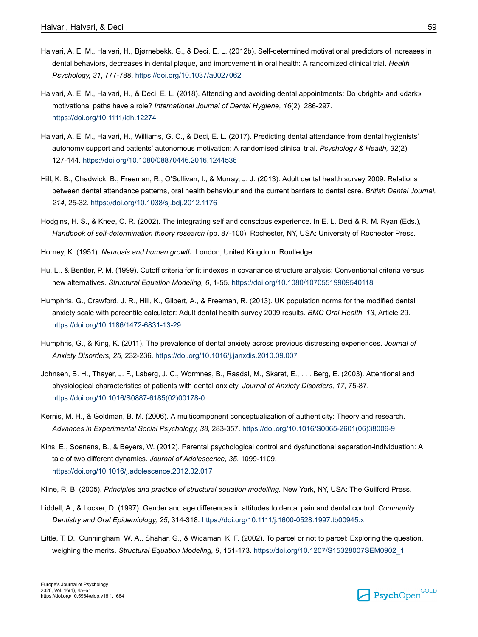- <span id="page-14-0"></span>Halvari, A. E. M., Halvari, H., Bjørnebekk, G., & Deci, E. L. (2012b). Self-determined motivational predictors of increases in dental behaviors, decreases in dental plaque, and improvement in oral health: A randomized clinical trial. *Health Psychology, 31*, 777-788. [https://doi.org/10.1037/a0027062](https://doi.org/10.1037%2Fa0027062)
- Halvari, A. E. M., Halvari, H., & Deci, E. L. (2018). Attending and avoiding dental appointments: Do «bright» and «dark» motivational paths have a role? *International Journal of Dental Hygiene, 16*(2), 286-297. [https://doi.org/10.1111/idh.12274](https://doi.org/10.1111%2Fidh.12274)
- Halvari, A. E. M., Halvari, H., Williams, G. C., & Deci, E. L. (2017). Predicting dental attendance from dental hygienists' autonomy support and patients' autonomous motivation: A randomised clinical trial. *Psychology & Health, 32*(2), 127-144. [https://doi.org/10.1080/08870446.2016.1244536](https://doi.org/10.1080%2F08870446.2016.1244536)
- Hill, K. B., Chadwick, B., Freeman, R., O'Sullivan, I., & Murray, J. J. (2013). Adult dental health survey 2009: Relations between dental attendance patterns, oral health behaviour and the current barriers to dental care. *British Dental Journal, 214*, 25-32. [https://doi.org/10.1038/sj.bdj.2012.1176](https://doi.org/10.1038%2Fsj.bdj.2012.1176)
- Hodgins, H. S., & Knee, C. R. (2002). The integrating self and conscious experience. In E. L. Deci & R. M. Ryan (Eds.), *Handbook of self-determination theory research* (pp. 87-100). Rochester, NY, USA: University of Rochester Press.
- Horney, K. (1951). *Neurosis and human growth.* London, United Kingdom: Routledge.
- Hu, L., & Bentler, P. M. (1999). Cutoff criteria for fit indexes in covariance structure analysis: Conventional criteria versus new alternatives. *Structural Equation Modeling, 6*, 1-55. [https://doi.org/10.1080/10705519909540118](https://doi.org/10.1080%2F10705519909540118)
- Humphris, G., Crawford, J. R., Hill, K., Gilbert, A., & Freeman, R. (2013). UK population norms for the modified dental anxiety scale with percentile calculator: Adult dental health survey 2009 results. *BMC Oral Health, 13*, Article 29. [https://doi.org/10.1186/1472-6831-13-29](https://doi.org/10.1186%2F1472-6831-13-29)
- Humphris, G., & King, K. (2011). The prevalence of dental anxiety across previous distressing experiences. *Journal of Anxiety Disorders, 25*, 232-236. [https://doi.org/10.1016/j.janxdis.2010.09.007](https://doi.org/10.1016%2Fj.janxdis.2010.09.007)
- Johnsen, B. H., Thayer, J. F., Laberg, J. C., Wormnes, B., Raadal, M., Skaret, E., . . . Berg, E. (2003). Attentional and physiological characteristics of patients with dental anxiety. *Journal of Anxiety Disorders, 17*, 75-87. [https://doi.org/10.1016/S0887-6185\(02\)00178-0](https://doi.org/10.1016%2FS0887-6185%2802%2900178-0)
- Kernis, M. H., & Goldman, B. M. (2006). A multicomponent conceptualization of authenticity: Theory and research. *Advances in Experimental Social Psychology, 38*, 283-357. [https://doi.org/10.1016/S0065-2601\(06\)38006-9](https://doi.org/10.1016%2FS0065-2601%2806%2938006-9)
- Kins, E., Soenens, B., & Beyers, W. (2012). Parental psychological control and dysfunctional separation-individuation: A tale of two different dynamics. *Journal of Adolescence, 35*, 1099-1109. [https://doi.org/10.1016/j.adolescence.2012.02.017](https://doi.org/10.1016%2Fj.adolescence.2012.02.017)
- Kline, R. B. (2005). *Principles and practice of structural equation modelling.* New York, NY, USA: The Guilford Press.
- Liddell, A., & Locker, D. (1997). Gender and age differences in attitudes to dental pain and dental control. *Community Dentistry and Oral Epidemiology, 25*, 314-318. [https://doi.org/10.1111/j.1600-0528.1997.tb00945.x](https://doi.org/10.1111%2Fj.1600-0528.1997.tb00945.x)
- Little, T. D., Cunningham, W. A., Shahar, G., & Widaman, K. F. (2002). To parcel or not to parcel: Exploring the question, weighing the merits. *Structural Equation Modeling, 9*, 151-173. [https://doi.org/10.1207/S15328007SEM0902\\_1](https://doi.org/10.1207%2FS15328007SEM0902_1)

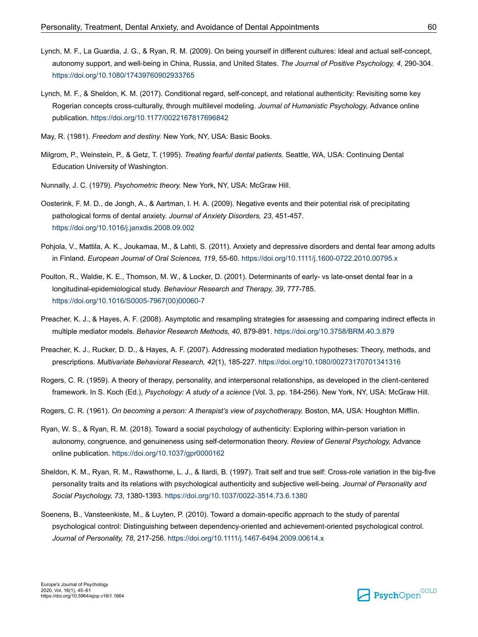- <span id="page-15-0"></span>Lynch, M. F., La Guardia, J. G., & Ryan, R. M. (2009). On being yourself in different cultures: Ideal and actual self-concept, autonomy support, and well-being in China, Russia, and United States. *The Journal of Positive Psychology, 4*, 290-304. [https://doi.org/10.1080/17439760902933765](https://doi.org/10.1080%2F17439760902933765)
- Lynch, M. F., & Sheldon, K. M. (2017). Conditional regard, self-concept, and relational authenticity: Revisiting some key Rogerian concepts cross-culturally, through multilevel modeling. *Journal of Humanistic Psychology,* Advance online publication. [https://doi.org/10.1177/0022167817696842](https://doi.org/10.1177%2F0022167817696842)
- May, R. (1981). *Freedom and destiny.* New York, NY, USA: Basic Books.
- Milgrom, P., Weinstein, P., & Getz, T. (1995). *Treating fearful dental patients.* Seattle, WA, USA: Continuing Dental Education University of Washington.
- Nunnally, J. C. (1979). *Psychometric theory.* New York, NY, USA: McGraw Hill.
- Oosterink, F. M. D., de Jongh, A., & Aartman, I. H. A. (2009). Negative events and their potential risk of precipitating pathological forms of dental anxiety. *Journal of Anxiety Disorders, 23*, 451-457. [https://doi.org/10.1016/j.janxdis.2008.09.002](https://doi.org/10.1016%2Fj.janxdis.2008.09.002)
- Pohjola, V., Mattila, A. K., Joukamaa, M., & Lahti, S. (2011). Anxiety and depressive disorders and dental fear among adults in Finland. *European Journal of Oral Sciences, 119*, 55-60. [https://doi.org/10.1111/j.1600-0722.2010.00795.x](https://doi.org/10.1111%2Fj.1600-0722.2010.00795.x)
- Poulton, R., Waldie, K. E., Thomson, M. W., & Locker, D. (2001). Determinants of early- vs late-onset dental fear in a longitudinal-epidemiological study. *Behaviour Research and Therapy, 39*, 777-785. [https://doi.org/10.1016/S0005-7967\(00\)00060-7](https://doi.org/10.1016%2FS0005-7967%2800%2900060-7)
- Preacher, K. J., & Hayes, A. F. (2008). Asymptotic and resampling strategies for assessing and comparing indirect effects in multiple mediator models. *Behavior Research Methods, 40*, 879-891. [https://doi.org/10.3758/BRM.40.3.879](https://doi.org/10.3758%2FBRM.40.3.879)
- Preacher, K. J., Rucker, D. D., & Hayes, A. F. (2007). Addressing moderated mediation hypotheses: Theory, methods, and prescriptions. *Multivariate Behavioral Research, 42*(1), 185-227. [https://doi.org/10.1080/00273170701341316](https://doi.org/10.1080%2F00273170701341316)
- Rogers, C. R. (1959). A theory of therapy, personality, and interpersonal relationships, as developed in the client-centered framework. In S. Koch (Ed.), *Psychology: A study of a science* (Vol. 3, pp. 184-256). New York, NY, USA: McGraw Hill.
- Rogers, C. R. (1961). *On becoming a person: A therapist's view of psychotherapy.* Boston, MA, USA: Houghton Mifflin.
- Ryan, W. S., & Ryan, R. M. (2018). Toward a social psychology of authenticity: Exploring within-person variation in autonomy, congruence, and genuineness using self-determonation theory. *Review of General Psychology,* Advance online publication. [https://doi.org/10.1037/gpr0000162](https://doi.org/10.1037%2Fgpr0000162)
- Sheldon, K. M., Ryan, R. M., Rawsthorne, L. J., & Ilardi, B. (1997). Trait self and true self: Cross-role variation in the big-five personality traits and its relations with psychological authenticity and subjective well-being. *Journal of Personality and Social Psychology, 73*, 1380-1393. [https://doi.org/10.1037/0022-3514.73.6.1380](https://doi.org/10.1037%2F0022-3514.73.6.1380)
- Soenens, B., Vansteenkiste, M., & Luyten, P. (2010). Toward a domain-specific approach to the study of parental psychological control: Distinguishing between dependency-oriented and achievement-oriented psychological control. *Journal of Personality, 78*, 217-256. [https://doi.org/10.1111/j.1467-6494.2009.00614.x](https://doi.org/10.1111%2Fj.1467-6494.2009.00614.x)